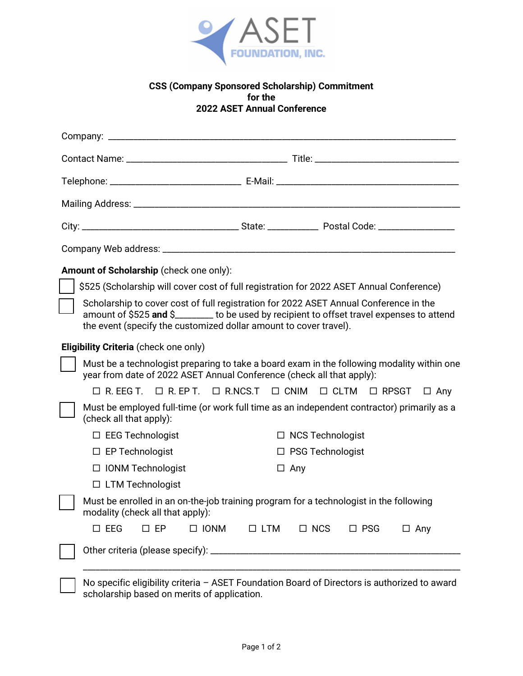

## **CSS (Company Sponsored Scholarship) Commitment for the 2022 ASET Annual Conference**

| Amount of Scholarship (check one only):                                                  |                                                                                                                                                                                                                                                         |                         |             |                    |               |                                                                                      |            |  |
|------------------------------------------------------------------------------------------|---------------------------------------------------------------------------------------------------------------------------------------------------------------------------------------------------------------------------------------------------------|-------------------------|-------------|--------------------|---------------|--------------------------------------------------------------------------------------|------------|--|
| \$525 (Scholarship will cover cost of full registration for 2022 ASET Annual Conference) |                                                                                                                                                                                                                                                         |                         |             |                    |               |                                                                                      |            |  |
|                                                                                          | Scholarship to cover cost of full registration for 2022 ASET Annual Conference in the<br>amount of \$525 and \$_______ to be used by recipient to offset travel expenses to attend<br>the event (specify the customized dollar amount to cover travel). |                         |             |                    |               |                                                                                      |            |  |
| <b>Eligibility Criteria</b> (check one only)                                             |                                                                                                                                                                                                                                                         |                         |             |                    |               |                                                                                      |            |  |
|                                                                                          | Must be a technologist preparing to take a board exam in the following modality within one<br>year from date of 2022 ASET Annual Conference (check all that apply):                                                                                     |                         |             |                    |               |                                                                                      |            |  |
|                                                                                          |                                                                                                                                                                                                                                                         |                         |             |                    |               | $\Box$ R. EEG T. $\Box$ R. EP T. $\Box$ R.NCS.T $\Box$ CNIM $\Box$ CLTM $\Box$ RPSGT | $\Box$ Any |  |
|                                                                                          | Must be employed full-time (or work full time as an independent contractor) primarily as a<br>(check all that apply):                                                                                                                                   |                         |             |                    |               |                                                                                      |            |  |
|                                                                                          | $\Box$ EEG Technologist                                                                                                                                                                                                                                 |                         |             |                    |               | $\Box$ NCS Technologist                                                              |            |  |
|                                                                                          | $\Box$ EP Technologist                                                                                                                                                                                                                                  |                         |             | □ PSG Technologist |               |                                                                                      |            |  |
|                                                                                          | □ IONM Technologist                                                                                                                                                                                                                                     |                         |             | $\Box$ Any         |               |                                                                                      |            |  |
|                                                                                          |                                                                                                                                                                                                                                                         | $\Box$ LTM Technologist |             |                    |               |                                                                                      |            |  |
|                                                                                          | Must be enrolled in an on-the-job training program for a technologist in the following<br>modality (check all that apply):                                                                                                                              |                         |             |                    |               |                                                                                      |            |  |
|                                                                                          | $\square$ EEG                                                                                                                                                                                                                                           | $\square$ EP            | $\Box$ IONM | $\Box$ LTM         | $\square$ NCS | $\Box$ PSG                                                                           | $\Box$ Any |  |
|                                                                                          |                                                                                                                                                                                                                                                         |                         |             |                    |               |                                                                                      |            |  |

 No specific eligibility criteria – ASET Foundation Board of Directors is authorized to award scholarship based on merits of application.